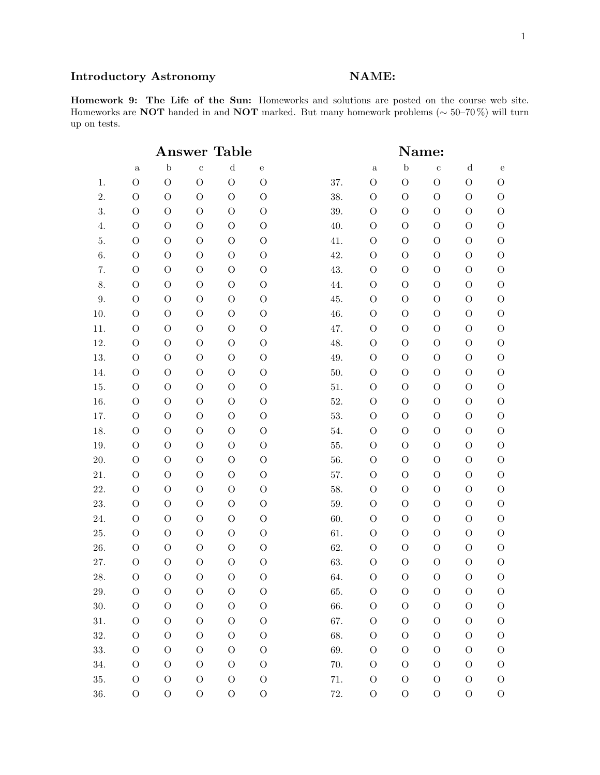# Introductory Astronomy NAME:

Homework 9: The Life of the Sun: Homeworks and solutions are posted on the course web site. Homeworks are NOT handed in and NOT marked. But many homework problems ( $\sim$  50–70%) will turn up on tests.

|          | <b>Table</b><br>${\bf Answer}$ |                |                |                |                | Name: |                |                |                |               |                |
|----------|--------------------------------|----------------|----------------|----------------|----------------|-------|----------------|----------------|----------------|---------------|----------------|
|          | $\mathbf{a}$                   | $\mathbf b$    | $\mathbf c$    | ${\rm d}$      | $\rm e$        |       | $\rm{a}$       | $\mathbf b$    | $\mathbf c$    | $\mathbf d$   | ${\bf e}$      |
| 1.       | $\mathcal{O}$                  | $\mathcal{O}$  | $\mathcal{O}$  | $\overline{O}$ | $\mathcal{O}$  | 37.   | $\mathcal{O}$  | $\mathcal{O}$  | $\mathcal{O}$  | $\mathcal{O}$ | $\mathcal{O}$  |
| 2.       | $\mathcal{O}$                  | $\mathcal{O}$  | $\overline{O}$ | $\mathcal{O}$  | $\overline{O}$ | 38.   | $\overline{O}$ | $\overline{O}$ | $\mathcal{O}$  | $\mathcal{O}$ | $\mathcal{O}$  |
| 3.       | $\mathcal{O}$                  | $\overline{O}$ | $\Omega$       | $\mathcal{O}$  | $\mathcal{O}$  | 39.   | $\overline{O}$ | $\mathcal{O}$  | $\overline{O}$ | $\mathcal{O}$ | $\Omega$       |
| 4.       | $\mathcal{O}$                  | $\mathcal{O}$  | $\mathcal{O}$  | $\Omega$       | $\overline{O}$ | 40.   | $\overline{O}$ | $\overline{O}$ | $\mathcal{O}$  | $\mathcal{O}$ | $\mathcal{O}$  |
| 5.       | $\mathcal{O}$                  | $\overline{O}$ | $\overline{O}$ | $\Omega$       | $\overline{O}$ | 41.   | $\overline{O}$ | $\mathcal{O}$  | $\mathcal{O}$  | $\mathcal{O}$ | $\Omega$       |
| 6.       | $\mathcal{O}$                  | $\overline{O}$ | $\mathcal{O}$  | $\Omega$       | $\overline{O}$ | 42.   | $\overline{O}$ | $\overline{O}$ | $\mathcal{O}$  | $\mathcal{O}$ | $\overline{O}$ |
| 7.       | $\mathcal{O}$                  | $\overline{O}$ | $\overline{O}$ | $\Omega$       | $\mathcal{O}$  | 43.   | $\overline{O}$ | $\overline{O}$ | $\mathcal{O}$  | $\mathcal{O}$ | $\Omega$       |
| 8.       | $\mathcal{O}$                  | $\overline{O}$ | $\mathcal{O}$  | $\mathcal{O}$  | $\overline{O}$ | 44.   | $\mathcal{O}$  | $\overline{O}$ | $\mathcal O$   | $\mathcal{O}$ | $\overline{O}$ |
| $9. \,$  | $\mathcal{O}$                  | $\mathcal{O}$  | $\mathcal{O}$  | $\mathcal{O}$  | $\overline{O}$ | 45.   | $\mathcal{O}$  | $\mathcal{O}$  | $\mathcal{O}$  | $\mathcal{O}$ | $\mathcal{O}$  |
| 10.      | $\mathcal{O}$                  | $\mathcal{O}$  | $\mathcal{O}$  | $\mathcal{O}$  | $\overline{O}$ | 46.   | $\mathcal{O}$  | $\overline{O}$ | $\mathcal{O}$  | $\mathcal O$  | $\overline{O}$ |
| 11.      | $\overline{O}$                 | $\overline{O}$ | $\mathcal{O}$  | $\mathcal{O}$  | $\overline{O}$ | 47.   | $\mathcal{O}$  | $\mathcal{O}$  | $\mathcal{O}$  | $\mathcal{O}$ | $\mathcal{O}$  |
| 12.      | $\overline{O}$                 | $\overline{O}$ | $\mathcal{O}$  | $\mathcal{O}$  | $\overline{O}$ | 48.   | $\mathcal{O}$  | $\overline{O}$ | $\mathcal{O}$  | $\mathcal{O}$ | $\overline{O}$ |
| 13.      | $\mathcal{O}$                  | $\mathcal{O}$  | $\mathcal{O}$  | $\mathcal{O}$  | $\overline{O}$ | 49.   | $\mathcal{O}$  | $\mathcal{O}$  | $\mathcal{O}$  | $\mathcal{O}$ | $\mathcal{O}$  |
| 14.      | $\mathcal{O}$                  | $\mathcal{O}$  | $\mathcal{O}$  | $\mathcal{O}$  | $\overline{O}$ | 50.   | $\mathcal{O}$  | $\overline{O}$ | $\mathcal{O}$  | $\mathcal O$  | $\overline{O}$ |
| 15.      | $\overline{O}$                 | $\mathcal{O}$  | $\mathcal{O}$  | $\mathcal{O}$  | $\overline{O}$ | 51.   | $\mathcal{O}$  | $\overline{O}$ | $\mathcal{O}$  | $\mathcal{O}$ | $\mathcal{O}$  |
| 16.      | $\overline{O}$                 | $\mathcal{O}$  | $\mathcal{O}$  | $\mathcal{O}$  | $\mathcal{O}$  | 52.   | $\mathcal{O}$  | $\overline{O}$ | $\mathcal{O}$  | $\mathcal{O}$ | $\overline{O}$ |
| 17.      | $\mathcal{O}$                  | $\mathcal{O}$  | $\mathcal{O}$  | $\mathcal{O}$  | $\overline{O}$ | 53.   | $\mathcal{O}$  | $\overline{O}$ | $\mathcal{O}$  | $\mathcal{O}$ | $\mathcal{O}$  |
| 18.      | $\overline{O}$                 | $\mathcal{O}$  | $\overline{O}$ | $\mathcal{O}$  | $\mathcal{O}$  | 54.   | $\mathcal{O}$  | $\overline{O}$ | $\mathcal{O}$  | $\mathcal{O}$ | $\overline{O}$ |
| 19.      | $\overline{O}$                 | $\overline{O}$ | $\overline{O}$ | $\mathcal{O}$  | $\mathcal{O}$  | 55.   | $\mathcal{O}$  | $\overline{O}$ | $\mathcal{O}$  | $\mathcal{O}$ | $\mathcal{O}$  |
| $20. \,$ | $\mathcal{O}$                  | $\mathcal{O}$  | $\mathcal{O}$  | $\mathcal{O}$  | $\overline{O}$ | 56.   | $\mathcal{O}$  | $\overline{O}$ | $\overline{O}$ | $\mathcal{O}$ | $\overline{O}$ |
| $21. \,$ | $\mathcal{O}$                  | $\mathcal O$   | $\overline{O}$ | $\mathcal{O}$  | $\overline{O}$ | 57.   | $\mathcal{O}$  | $\overline{O}$ | $\mathcal O$   | $\mathcal O$  | $\mathcal{O}$  |
| $22. \,$ | $\mathcal{O}$                  | $\mathcal{O}$  | $\mathcal{O}$  | $\mathcal{O}$  | $\overline{O}$ | 58.   | $\mathcal{O}$  | $\overline{O}$ | $\mathcal{O}$  | $\mathcal{O}$ | $\overline{O}$ |
| 23.      | $\mathcal{O}$                  | $\mathcal{O}$  | $\mathcal{O}$  | $\mathcal{O}$  | $\mathcal{O}$  | 59.   | $\mathcal{O}$  | $\mathcal{O}$  | $\mathcal{O}$  | $\mathcal{O}$ | $\mathcal{O}$  |
| 24.      | $\overline{O}$                 | $\mathcal{O}$  | $\Omega$       | $\mathcal{O}$  | $\mathcal{O}$  | 60.   | $\mathcal{O}$  | $\overline{O}$ | $\mathcal{O}$  | $\mathcal{O}$ | $\mathcal{O}$  |
| 25.      | $\mathcal{O}$                  | $\mathcal{O}$  | $\mathcal{O}$  | $\mathcal{O}$  | $\overline{O}$ | 61.   | $\mathcal{O}$  | $\overline{O}$ | $\mathcal O$   | $\mathcal O$  | $\mathcal{O}$  |
| 26.      | $\mathcal{O}$                  | $\mathcal{O}$  | $\mathcal{O}$  | $\mathcal{O}$  | $\overline{O}$ | 62.   | $\mathcal{O}$  | $\overline{O}$ | $\mathcal{O}$  | $\mathcal{O}$ | $\overline{O}$ |
| 27.      | $\overline{O}$                 | $\mathcal{O}$  | $\overline{O}$ | $\mathcal{O}$  | $\mathcal{O}$  | 63.   | $\mathcal{O}$  | $\overline{O}$ | $\mathcal{O}$  | $\mathcal{O}$ | $\mathcal{O}$  |
| $28. \,$ | $\mathcal{O}$                  | $\mathcal{O}$  | $\mathcal{O}$  | $\mathcal{O}$  | $\mathcal{O}$  | 64.   | $\mathcal{O}$  | $\mathcal{O}$  | $\mathcal{O}$  | $\mathcal O$  | $\overline{O}$ |
| 29.      | $\mathcal{O}$                  | $\mathcal{O}$  | $\mathcal{O}$  | $\overline{O}$ | $\overline{O}$ | 65.   | $\overline{O}$ | $\mathcal{O}$  | $\mathcal{O}$  | $\mathcal{O}$ | $\mathcal{O}$  |
| 30.      | $\mathcal{O}$                  | $\mathcal{O}$  | $\mathcal{O}$  | $\overline{O}$ | $\mathcal{O}$  | 66.   | $\mathcal{O}$  | $\mathcal{O}$  | $\mathcal O$   | $\mathcal{O}$ | $\mathcal{O}$  |
| 31.      | $\rm{O}$                       | $\mathcal{O}$  | $\mathcal{O}$  | $\mathcal{O}$  | $\mathcal{O}$  | 67.   | $\mathcal{O}$  | $\mathcal{O}$  | $\mathcal{O}$  | $\mathcal{O}$ | $\mathcal{O}$  |
| 32.      | $\mathcal{O}$                  | $\mathcal{O}$  | $\mathcal{O}$  | $\mathcal{O}$  | $\overline{O}$ | 68.   | $\Omega$       | $\mathcal{O}$  | $\mathcal{O}$  | $\mathcal{O}$ | $\mathcal{O}$  |
| 33.      | $\mathcal O$                   | $\mathcal{O}$  | $\mathcal{O}$  | $\overline{O}$ | $\mathcal{O}$  | 69.   | $\mathcal{O}$  | $\mathcal{O}$  | $\mathcal{O}$  | $\mathcal{O}$ | $\mathcal{O}$  |
| 34.      | $\mathcal{O}$                  | $\overline{O}$ | $\overline{O}$ | $\Omega$       | $\mathcal{O}$  | 70.   | $\mathcal{O}$  | $\overline{O}$ | $\mathcal{O}$  | $\mathcal{O}$ | $\Omega$       |
| 35.      | $\mathcal{O}$                  | $\mathcal{O}$  | $\mathcal{O}$  | $\mathcal{O}$  | $\mathcal{O}$  | 71.   | $\mathcal{O}$  | $\overline{O}$ | $\mathcal{O}$  | $\mathcal{O}$ | $\mathcal{O}$  |
| 36.      | $\mathcal O$                   | $\mathcal O$   | $\mathcal{O}$  | $\mathcal{O}$  | $\mathcal{O}$  | 72.   | $\mathcal{O}$  | $\mathcal O$   | $\mathcal{O}$  | $\rm{O}$      | $\mathcal{O}$  |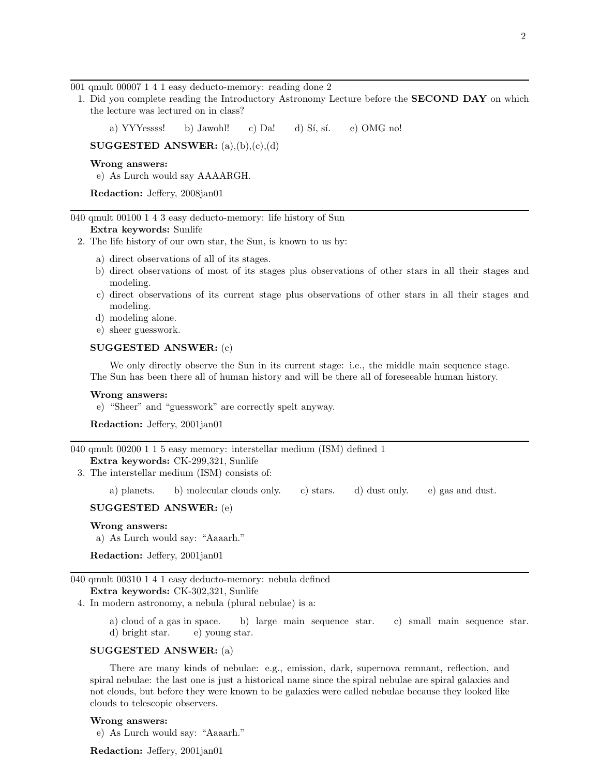001 qmult 00007 1 4 1 easy deducto-memory: reading done 2

1. Did you complete reading the Introductory Astronomy Lecture before the SECOND DAY on which the lecture was lectured on in class?

a) YYYessss! b) Jawohl! c) Da! d) Sí, sí. e) OMG no!

SUGGESTED ANSWER:  $(a),(b),(c),(d)$ 

Wrong answers:

e) As Lurch would say AAAARGH.

Redaction: Jeffery, 2008jan01

040 qmult 00100 1 4 3 easy deducto-memory: life history of Sun

### Extra keywords: Sunlife

- 2. The life history of our own star, the Sun, is known to us by:
	- a) direct observations of all of its stages.
	- b) direct observations of most of its stages plus observations of other stars in all their stages and modeling.
	- c) direct observations of its current stage plus observations of other stars in all their stages and modeling.
	- d) modeling alone.
	- e) sheer guesswork.

### SUGGESTED ANSWER: (c)

We only directly observe the Sun in its current stage: i.e., the middle main sequence stage. The Sun has been there all of human history and will be there all of foreseeable human history.

#### Wrong answers:

e) "Sheer" and "guesswork" are correctly spelt anyway.

Redaction: Jeffery, 2001jan01

```
040 qmult 00200 1 1 5 easy memory: interstellar medium (ISM) defined 1
Extra keywords: CK-299,321, Sunlife
```
3. The interstellar medium (ISM) consists of:

a) planets. b) molecular clouds only. c) stars. d) dust only. e) gas and dust.

SUGGESTED ANSWER: (e)

### Wrong answers:

a) As Lurch would say: "Aaaarh."

Redaction: Jeffery, 2001jan01

040 qmult 00310 1 4 1 easy deducto-memory: nebula defined Extra keywords: CK-302,321, Sunlife

4. In modern astronomy, a nebula (plural nebulae) is a:

a) cloud of a gas in space. b) large main sequence star. c) small main sequence star. d) bright star. e) young star.

### SUGGESTED ANSWER: (a)

There are many kinds of nebulae: e.g., emission, dark, supernova remnant, reflection, and spiral nebulae: the last one is just a historical name since the spiral nebulae are spiral galaxies and not clouds, but before they were known to be galaxies were called nebulae because they looked like clouds to telescopic observers.

### Wrong answers:

e) As Lurch would say: "Aaaarh."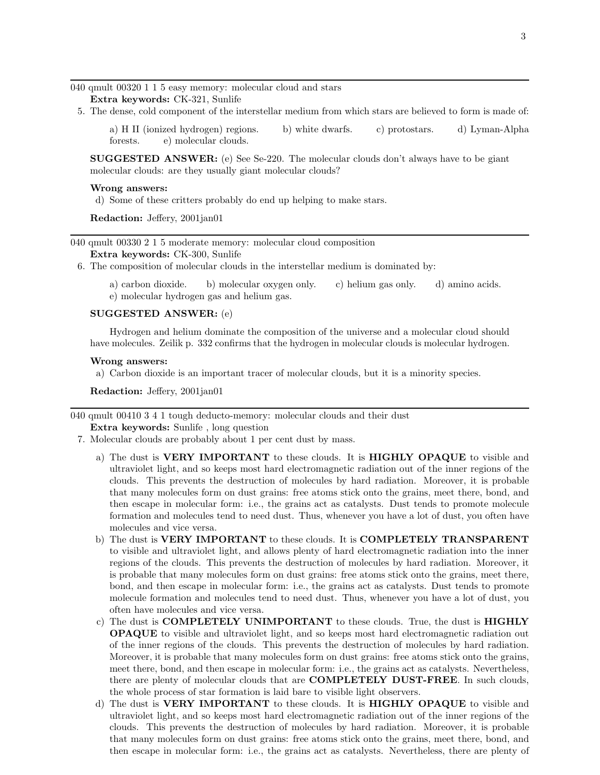040 qmult 00320 1 1 5 easy memory: molecular cloud and stars

Extra keywords: CK-321, Sunlife

5. The dense, cold component of the interstellar medium from which stars are believed to form is made of:

a) H II (ionized hydrogen) regions. b) white dwarfs. c) protostars. d) Lyman-Alpha forests. e) molecular clouds.

SUGGESTED ANSWER: (e) See Se-220. The molecular clouds don't always have to be giant molecular clouds: are they usually giant molecular clouds?

#### Wrong answers:

d) Some of these critters probably do end up helping to make stars.

Redaction: Jeffery, 2001jan01

040 qmult 00330 2 1 5 moderate memory: molecular cloud composition

Extra keywords: CK-300, Sunlife

6. The composition of molecular clouds in the interstellar medium is dominated by:

a) carbon dioxide. b) molecular oxygen only. c) helium gas only. d) amino acids. e) molecular hydrogen gas and helium gas.

### SUGGESTED ANSWER: (e)

Hydrogen and helium dominate the composition of the universe and a molecular cloud should have molecules. Zeilik p. 332 confirms that the hydrogen in molecular clouds is molecular hydrogen.

### Wrong answers:

a) Carbon dioxide is an important tracer of molecular clouds, but it is a minority species.

Redaction: Jeffery, 2001jan01

040 qmult 00410 3 4 1 tough deducto-memory: molecular clouds and their dust

Extra keywords: Sunlife , long question

- 7. Molecular clouds are probably about 1 per cent dust by mass.
	- a) The dust is VERY IMPORTANT to these clouds. It is HIGHLY OPAQUE to visible and ultraviolet light, and so keeps most hard electromagnetic radiation out of the inner regions of the clouds. This prevents the destruction of molecules by hard radiation. Moreover, it is probable that many molecules form on dust grains: free atoms stick onto the grains, meet there, bond, and then escape in molecular form: i.e., the grains act as catalysts. Dust tends to promote molecule formation and molecules tend to need dust. Thus, whenever you have a lot of dust, you often have molecules and vice versa.
	- b) The dust is VERY IMPORTANT to these clouds. It is COMPLETELY TRANSPARENT to visible and ultraviolet light, and allows plenty of hard electromagnetic radiation into the inner regions of the clouds. This prevents the destruction of molecules by hard radiation. Moreover, it is probable that many molecules form on dust grains: free atoms stick onto the grains, meet there, bond, and then escape in molecular form: i.e., the grains act as catalysts. Dust tends to promote molecule formation and molecules tend to need dust. Thus, whenever you have a lot of dust, you often have molecules and vice versa.
	- c) The dust is COMPLETELY UNIMPORTANT to these clouds. True, the dust is HIGHLY OPAQUE to visible and ultraviolet light, and so keeps most hard electromagnetic radiation out of the inner regions of the clouds. This prevents the destruction of molecules by hard radiation. Moreover, it is probable that many molecules form on dust grains: free atoms stick onto the grains, meet there, bond, and then escape in molecular form: i.e., the grains act as catalysts. Nevertheless, there are plenty of molecular clouds that are **COMPLETELY DUST-FREE**. In such clouds, the whole process of star formation is laid bare to visible light observers.
	- d) The dust is VERY IMPORTANT to these clouds. It is HIGHLY OPAQUE to visible and ultraviolet light, and so keeps most hard electromagnetic radiation out of the inner regions of the clouds. This prevents the destruction of molecules by hard radiation. Moreover, it is probable that many molecules form on dust grains: free atoms stick onto the grains, meet there, bond, and then escape in molecular form: i.e., the grains act as catalysts. Nevertheless, there are plenty of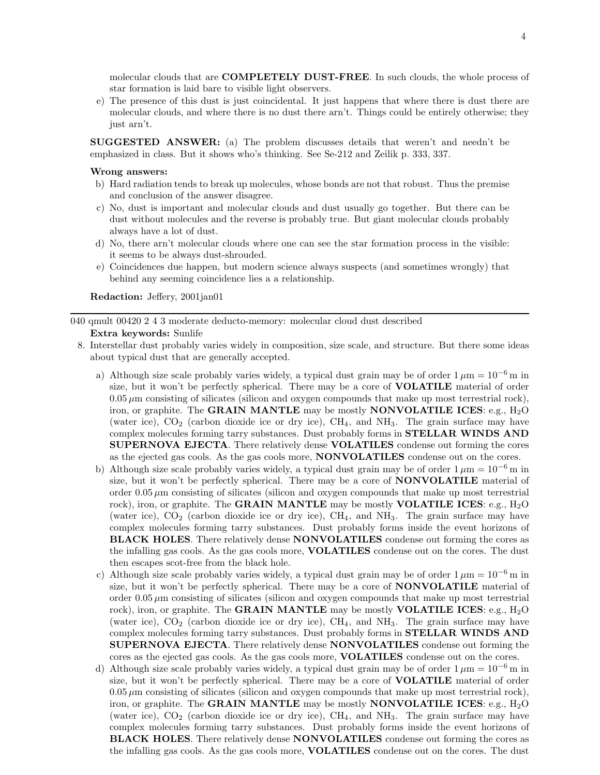molecular clouds that are **COMPLETELY DUST-FREE**. In such clouds, the whole process of star formation is laid bare to visible light observers.

e) The presence of this dust is just coincidental. It just happens that where there is dust there are molecular clouds, and where there is no dust there arn't. Things could be entirely otherwise; they just arn't.

SUGGESTED ANSWER: (a) The problem discusses details that weren't and needn't be emphasized in class. But it shows who's thinking. See Se-212 and Zeilik p. 333, 337.

#### Wrong answers:

- b) Hard radiation tends to break up molecules, whose bonds are not that robust. Thus the premise and conclusion of the answer disagree.
- c) No, dust is important and molecular clouds and dust usually go together. But there can be dust without molecules and the reverse is probably true. But giant molecular clouds probably always have a lot of dust.
- d) No, there arn't molecular clouds where one can see the star formation process in the visible: it seems to be always dust-shrouded.
- e) Coincidences due happen, but modern science always suspects (and sometimes wrongly) that behind any seeming coincidence lies a a relationship.

Redaction: Jeffery, 2001jan01

040 qmult 00420 2 4 3 moderate deducto-memory: molecular cloud dust described

### Extra keywords: Sunlife

- 8. Interstellar dust probably varies widely in composition, size scale, and structure. But there some ideas about typical dust that are generally accepted.
	- a) Although size scale probably varies widely, a typical dust grain may be of order  $1 \mu m = 10^{-6}$  m in size, but it won't be perfectly spherical. There may be a core of **VOLATILE** material of order  $0.05 \mu m$  consisting of silicates (silicon and oxygen compounds that make up most terrestrial rock), iron, or graphite. The GRAIN MANTLE may be mostly NONVOLATILE ICES: e.g.,  $H_2O$ (water ice),  $CO<sub>2</sub>$  (carbon dioxide ice or dry ice),  $CH<sub>4</sub>$ , and  $NH<sub>3</sub>$ . The grain surface may have complex molecules forming tarry substances. Dust probably forms in STELLAR WINDS AND SUPERNOVA EJECTA. There relatively dense VOLATILES condense out forming the cores as the ejected gas cools. As the gas cools more, NONVOLATILES condense out on the cores.
	- b) Although size scale probably varies widely, a typical dust grain may be of order  $1 \mu m = 10^{-6}$  m in size, but it won't be perfectly spherical. There may be a core of **NONVOLATILE** material of order  $0.05 \mu$ m consisting of silicates (silicon and oxygen compounds that make up most terrestrial rock), iron, or graphite. The **GRAIN MANTLE** may be mostly **VOLATILE ICES**: e.g.,  $H_2O$ (water ice),  $CO<sub>2</sub>$  (carbon dioxide ice or dry ice),  $CH<sub>4</sub>$ , and  $NH<sub>3</sub>$ . The grain surface may have complex molecules forming tarry substances. Dust probably forms inside the event horizons of **BLACK HOLES.** There relatively dense **NONVOLATILES** condense out forming the cores as the infalling gas cools. As the gas cools more, **VOLATILES** condense out on the cores. The dust then escapes scot-free from the black hole.
	- c) Although size scale probably varies widely, a typical dust grain may be of order  $1 \mu m = 10^{-6}$  m in size, but it won't be perfectly spherical. There may be a core of NONVOLATILE material of order  $0.05 \mu$ m consisting of silicates (silicon and oxygen compounds that make up most terrestrial rock), iron, or graphite. The GRAIN MANTLE may be mostly VOLATILE ICES: e.g.,  $H_2O$ (water ice),  $CO_2$  (carbon dioxide ice or dry ice),  $CH_4$ , and  $NH_3$ . The grain surface may have complex molecules forming tarry substances. Dust probably forms in STELLAR WINDS AND SUPERNOVA EJECTA. There relatively dense NONVOLATILES condense out forming the cores as the ejected gas cools. As the gas cools more, VOLATILES condense out on the cores.
	- d) Although size scale probably varies widely, a typical dust grain may be of order  $1 \mu m = 10^{-6}$  m in size, but it won't be perfectly spherical. There may be a core of VOLATILE material of order  $0.05 \mu$ m consisting of silicates (silicon and oxygen compounds that make up most terrestrial rock), iron, or graphite. The GRAIN MANTLE may be mostly NONVOLATILE ICES: e.g.,  $H_2O$ (water ice),  $CO<sub>2</sub>$  (carbon dioxide ice or dry ice),  $CH<sub>4</sub>$ , and  $NH<sub>3</sub>$ . The grain surface may have complex molecules forming tarry substances. Dust probably forms inside the event horizons of BLACK HOLES. There relatively dense NONVOLATILES condense out forming the cores as the infalling gas cools. As the gas cools more, **VOLATILES** condense out on the cores. The dust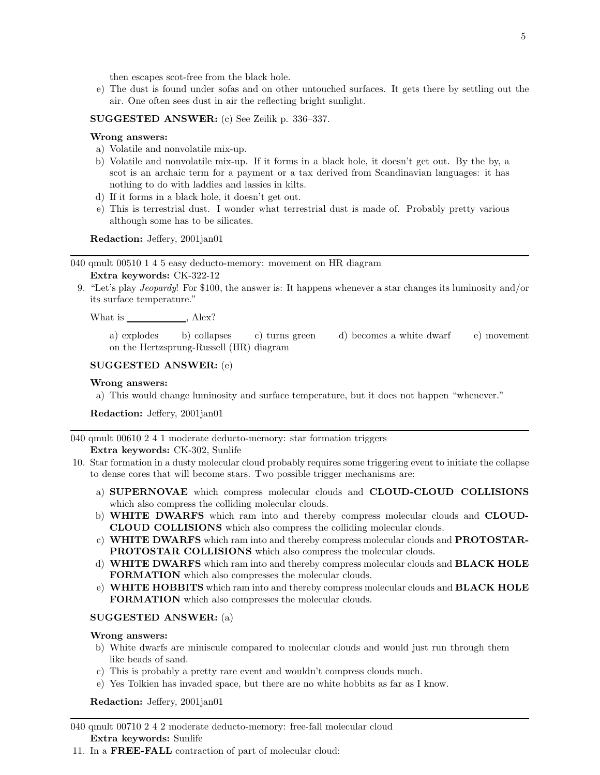then escapes scot-free from the black hole.

e) The dust is found under sofas and on other untouched surfaces. It gets there by settling out the air. One often sees dust in air the reflecting bright sunlight.

# SUGGESTED ANSWER: (c) See Zeilik p. 336–337.

#### Wrong answers:

- a) Volatile and nonvolatile mix-up.
- b) Volatile and nonvolatile mix-up. If it forms in a black hole, it doesn't get out. By the by, a scot is an archaic term for a payment or a tax derived from Scandinavian languages: it has nothing to do with laddies and lassies in kilts.
- d) If it forms in a black hole, it doesn't get out.
- e) This is terrestrial dust. I wonder what terrestrial dust is made of. Probably pretty various although some has to be silicates.

Redaction: Jeffery, 2001jan01

040 qmult 00510 1 4 5 easy deducto-memory: movement on HR diagram

### Extra keywords: CK-322-12

9. "Let's play Jeopardy! For \$100, the answer is: It happens whenever a star changes its luminosity and/or its surface temperature."

What is , Alex?

a) explodes b) collapses c) turns green d) becomes a white dwarf e) movement on the Hertzsprung-Russell (HR) diagram

# SUGGESTED ANSWER: (e)

#### Wrong answers:

a) This would change luminosity and surface temperature, but it does not happen "whenever."

Redaction: Jeffery, 2001jan01

040 qmult 00610 2 4 1 moderate deducto-memory: star formation triggers

# Extra keywords: CK-302, Sunlife

- 10. Star formation in a dusty molecular cloud probably requires some triggering event to initiate the collapse to dense cores that will become stars. Two possible trigger mechanisms are:
	- a) SUPERNOVAE which compress molecular clouds and CLOUD-CLOUD COLLISIONS which also compress the colliding molecular clouds.
	- b) WHITE DWARFS which ram into and thereby compress molecular clouds and CLOUD-CLOUD COLLISIONS which also compress the colliding molecular clouds.
	- c) WHITE DWARFS which ram into and thereby compress molecular clouds and PROTOSTAR-PROTOSTAR COLLISIONS which also compress the molecular clouds.
	- d) WHITE DWARFS which ram into and thereby compress molecular clouds and BLACK HOLE FORMATION which also compresses the molecular clouds.
	- e) WHITE HOBBITS which ram into and thereby compress molecular clouds and BLACK HOLE FORMATION which also compresses the molecular clouds.

# SUGGESTED ANSWER: (a)

#### Wrong answers:

- b) White dwarfs are miniscule compared to molecular clouds and would just run through them like beads of sand.
- c) This is probably a pretty rare event and wouldn't compress clouds much.
- e) Yes Tolkien has invaded space, but there are no white hobbits as far as I know.

Redaction: Jeffery, 2001jan01

040 qmult 00710 2 4 2 moderate deducto-memory: free-fall molecular cloud Extra keywords: Sunlife

11. In a FREE-FALL contraction of part of molecular cloud: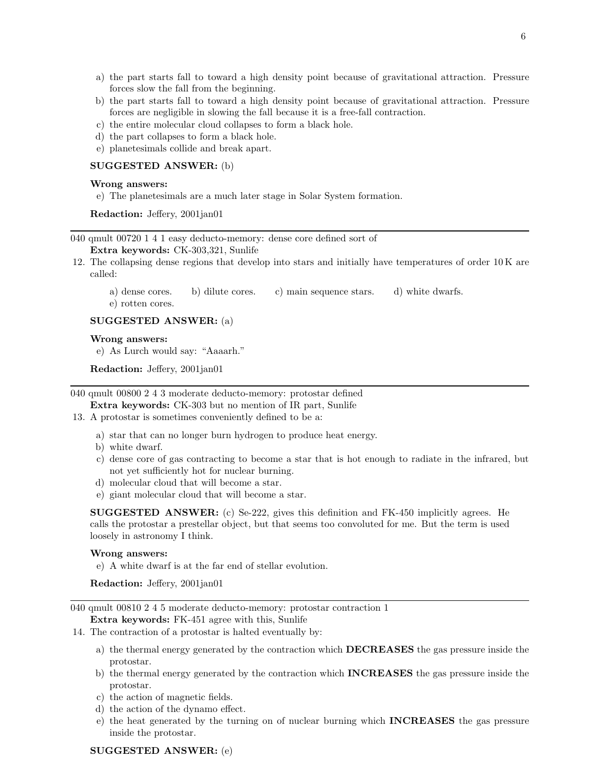- a) the part starts fall to toward a high density point because of gravitational attraction. Pressure forces slow the fall from the beginning.
- b) the part starts fall to toward a high density point because of gravitational attraction. Pressure forces are negligible in slowing the fall because it is a free-fall contraction.
- c) the entire molecular cloud collapses to form a black hole.
- d) the part collapses to form a black hole.
- e) planetesimals collide and break apart.

# SUGGESTED ANSWER: (b)

#### Wrong answers:

e) The planetesimals are a much later stage in Solar System formation.

Redaction: Jeffery, 2001jan01

040 qmult 00720 1 4 1 easy deducto-memory: dense core defined sort of

# Extra keywords: CK-303,321, Sunlife

- 12. The collapsing dense regions that develop into stars and initially have temperatures of order 10 K are called:
	- a) dense cores. b) dilute cores. c) main sequence stars. d) white dwarfs.

e) rotten cores.

### SUGGESTED ANSWER: (a)

# Wrong answers:

e) As Lurch would say: "Aaaarh."

Redaction: Jeffery, 2001jan01

040 qmult 00800 2 4 3 moderate deducto-memory: protostar defined

Extra keywords: CK-303 but no mention of IR part, Sunlife

13. A protostar is sometimes conveniently defined to be a:

- a) star that can no longer burn hydrogen to produce heat energy.
- b) white dwarf.
- c) dense core of gas contracting to become a star that is hot enough to radiate in the infrared, but not yet sufficiently hot for nuclear burning.
- d) molecular cloud that will become a star.
- e) giant molecular cloud that will become a star.

SUGGESTED ANSWER: (c) Se-222, gives this definition and FK-450 implicitly agrees. He calls the protostar a prestellar object, but that seems too convoluted for me. But the term is used loosely in astronomy I think.

#### Wrong answers:

e) A white dwarf is at the far end of stellar evolution.

Redaction: Jeffery, 2001jan01

040 qmult 00810 2 4 5 moderate deducto-memory: protostar contraction 1

Extra keywords: FK-451 agree with this, Sunlife

- 14. The contraction of a protostar is halted eventually by:
	- a) the thermal energy generated by the contraction which DECREASES the gas pressure inside the protostar.
	- b) the thermal energy generated by the contraction which INCREASES the gas pressure inside the protostar.
	- c) the action of magnetic fields.
	- d) the action of the dynamo effect.
	- e) the heat generated by the turning on of nuclear burning which INCREASES the gas pressure inside the protostar.

### SUGGESTED ANSWER: (e)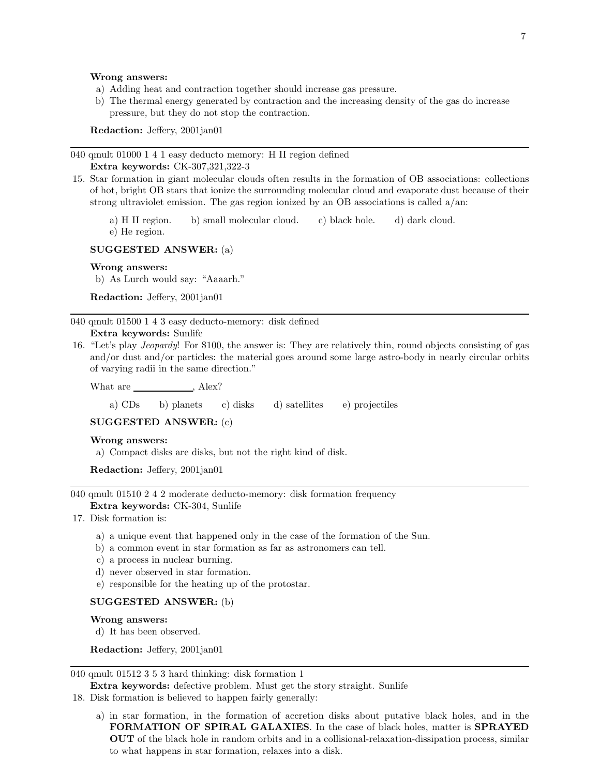#### Wrong answers:

- a) Adding heat and contraction together should increase gas pressure.
- b) The thermal energy generated by contraction and the increasing density of the gas do increase pressure, but they do not stop the contraction.

Redaction: Jeffery, 2001jan01

040 qmult 01000 1 4 1 easy deducto memory: H II region defined Extra keywords: CK-307,321,322-3

15. Star formation in giant molecular clouds often results in the formation of OB associations: collections of hot, bright OB stars that ionize the surrounding molecular cloud and evaporate dust because of their strong ultraviolet emission. The gas region ionized by an OB associations is called a/an:

a) H II region. b) small molecular cloud. c) black hole. d) dark cloud. e) He region.

# SUGGESTED ANSWER: (a)

### Wrong answers:

b) As Lurch would say: "Aaaarh."

Redaction: Jeffery, 2001jan01

040 qmult 01500 1 4 3 easy deducto-memory: disk defined

# Extra keywords: Sunlife

16. "Let's play Jeopardy! For \$100, the answer is: They are relatively thin, round objects consisting of gas and/or dust and/or particles: the material goes around some large astro-body in nearly circular orbits of varying radii in the same direction."

What are , Alex?

a) CDs b) planets c) disks d) satellites e) projectiles

### SUGGESTED ANSWER: (c)

### Wrong answers:

a) Compact disks are disks, but not the right kind of disk.

Redaction: Jeffery, 2001jan01

040 qmult 01510 2 4 2 moderate deducto-memory: disk formation frequency Extra keywords: CK-304, Sunlife

- 17. Disk formation is:
	- a) a unique event that happened only in the case of the formation of the Sun.
	- b) a common event in star formation as far as astronomers can tell.
	- c) a process in nuclear burning.
	- d) never observed in star formation.
	- e) responsible for the heating up of the protostar.

# SUGGESTED ANSWER: (b)

#### Wrong answers:

d) It has been observed.

Redaction: Jeffery, 2001jan01

### 040 qmult 01512 3 5 3 hard thinking: disk formation 1

Extra keywords: defective problem. Must get the story straight. Sunlife

- 18. Disk formation is believed to happen fairly generally:
	- a) in star formation, in the formation of accretion disks about putative black holes, and in the FORMATION OF SPIRAL GALAXIES. In the case of black holes, matter is SPRAYED OUT of the black hole in random orbits and in a collisional-relaxation-dissipation process, similar to what happens in star formation, relaxes into a disk.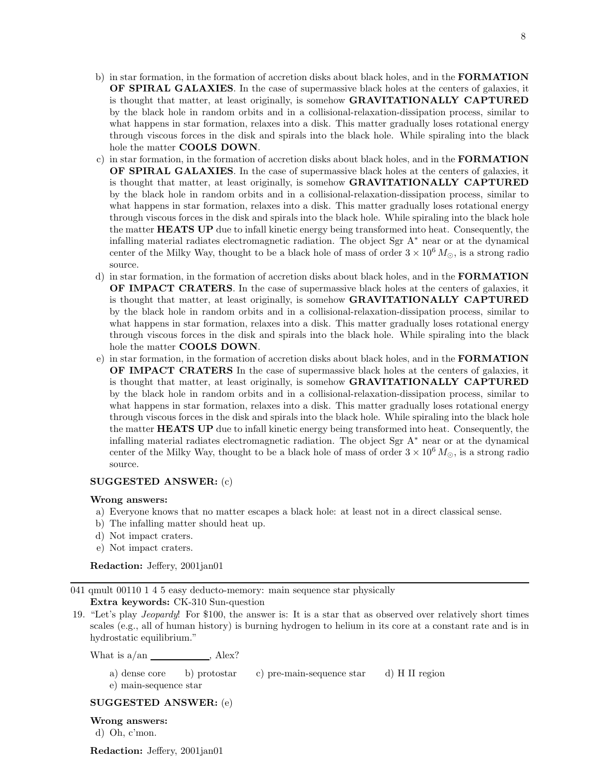- b) in star formation, in the formation of accretion disks about black holes, and in the **FORMATION** OF SPIRAL GALAXIES. In the case of supermassive black holes at the centers of galaxies, it is thought that matter, at least originally, is somehow **GRAVITATIONALLY CAPTURED** by the black hole in random orbits and in a collisional-relaxation-dissipation process, similar to what happens in star formation, relaxes into a disk. This matter gradually loses rotational energy through viscous forces in the disk and spirals into the black hole. While spiraling into the black hole the matter **COOLS DOWN**.
- c) in star formation, in the formation of accretion disks about black holes, and in the FORMATION OF SPIRAL GALAXIES. In the case of supermassive black holes at the centers of galaxies, it is thought that matter, at least originally, is somehow **GRAVITATIONALLY CAPTURED** by the black hole in random orbits and in a collisional-relaxation-dissipation process, similar to what happens in star formation, relaxes into a disk. This matter gradually loses rotational energy through viscous forces in the disk and spirals into the black hole. While spiraling into the black hole the matter **HEATS UP** due to infall kinetic energy being transformed into heat. Consequently, the infalling material radiates electromagnetic radiation. The object Sgr A<sup>∗</sup> near or at the dynamical center of the Milky Way, thought to be a black hole of mass of order  $3 \times 10^6 M_{\odot}$ , is a strong radio source.
- d) in star formation, in the formation of accretion disks about black holes, and in the FORMATION OF IMPACT CRATERS. In the case of supermassive black holes at the centers of galaxies, it is thought that matter, at least originally, is somehow GRAVITATIONALLY CAPTURED by the black hole in random orbits and in a collisional-relaxation-dissipation process, similar to what happens in star formation, relaxes into a disk. This matter gradually loses rotational energy through viscous forces in the disk and spirals into the black hole. While spiraling into the black hole the matter **COOLS DOWN**.
- e) in star formation, in the formation of accretion disks about black holes, and in the FORMATION OF IMPACT CRATERS In the case of supermassive black holes at the centers of galaxies, it is thought that matter, at least originally, is somehow GRAVITATIONALLY CAPTURED by the black hole in random orbits and in a collisional-relaxation-dissipation process, similar to what happens in star formation, relaxes into a disk. This matter gradually loses rotational energy through viscous forces in the disk and spirals into the black hole. While spiraling into the black hole the matter **HEATS UP** due to infall kinetic energy being transformed into heat. Consequently, the infalling material radiates electromagnetic radiation. The object Sgr  $A^*$  near or at the dynamical center of the Milky Way, thought to be a black hole of mass of order  $3 \times 10^6 M_{\odot}$ , is a strong radio source.

# SUGGESTED ANSWER: (c)

### Wrong answers:

- a) Everyone knows that no matter escapes a black hole: at least not in a direct classical sense.
- b) The infalling matter should heat up.
- d) Not impact craters.
- e) Not impact craters.

Redaction: Jeffery, 2001jan01

041 qmult 00110 1 4 5 easy deducto-memory: main sequence star physically

Extra keywords: CK-310 Sun-question

19. "Let's play Jeopardy! For \$100, the answer is: It is a star that as observed over relatively short times scales (e.g., all of human history) is burning hydrogen to helium in its core at a constant rate and is in hydrostatic equilibrium."

What is  $a/\text{an}$  , Alex?

a) dense core b) protostar c) pre-main-sequence star d) H II region

e) main-sequence star

SUGGESTED ANSWER: (e)

Wrong answers:

d) Oh, c'mon.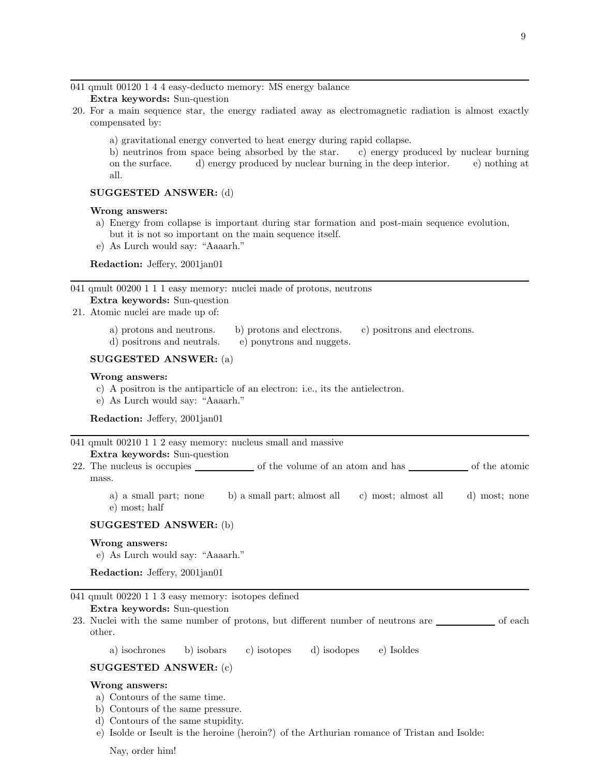041 qmult 00120 1 4 4 easy-deducto memory: MS energy balance

Extra keywords: Sun-question

- 20. For a main sequence star, the energy radiated away as electromagnetic radiation is almost exactly compensated by:
	- a) gravitational energy converted to heat energy during rapid collapse.

b) neutrinos from space being absorbed by the star. c) energy produced by nuclear burning on the surface. d) energy produced by nuclear burning in the deep interior. e) nothing at all.

### SUGGESTED ANSWER: (d)

### Wrong answers:

- a) Energy from collapse is important during star formation and post-main sequence evolution, but it is not so important on the main sequence itself.
- e) As Lurch would say: "Aaaarh."

Redaction: Jeffery, 2001jan01

041 qmult 00200 1 1 1 easy memory: nuclei made of protons, neutrons

# Extra keywords: Sun-question

- 21. Atomic nuclei are made up of:
	- a) protons and neutrons. b) protons and electrons. c) positrons and electrons.
	- d) positrons and neutrals. e) ponytrons and nuggets.

# SUGGESTED ANSWER: (a)

# Wrong answers:

- c) A positron is the antiparticle of an electron: i.e., its the antielectron.
- e) As Lurch would say: "Aaaarh."

Redaction: Jeffery, 2001jan01

041 qmult 00210 1 1 2 easy memory: nucleus small and massive

# Extra keywords: Sun-question

- 22. The nucleus is occupies <u>or all of the volume of an atom and has see</u> of the atomic mass.
	- a) a small part; none b) a small part; almost all c) most; almost all d) most; none e) most; half

### SUGGESTED ANSWER: (b)

#### Wrong answers:

e) As Lurch would say: "Aaaarh."

Redaction: Jeffery, 2001jan01

### 041 qmult 00220 1 1 3 easy memory: isotopes defined

Extra keywords: Sun-question

23. Nuclei with the same number of protons, but different number of neutrons are <u>of</u> of each other.

a) isochrones b) isobars c) isotopes d) isodopes e) Isoldes

# SUGGESTED ANSWER: (c)

# Wrong answers:

- a) Contours of the same time.
- b) Contours of the same pressure.
- d) Contours of the same stupidity.
- e) Isolde or Iseult is the heroine (heroin?) of the Arthurian romance of Tristan and Isolde:

Nay, order him!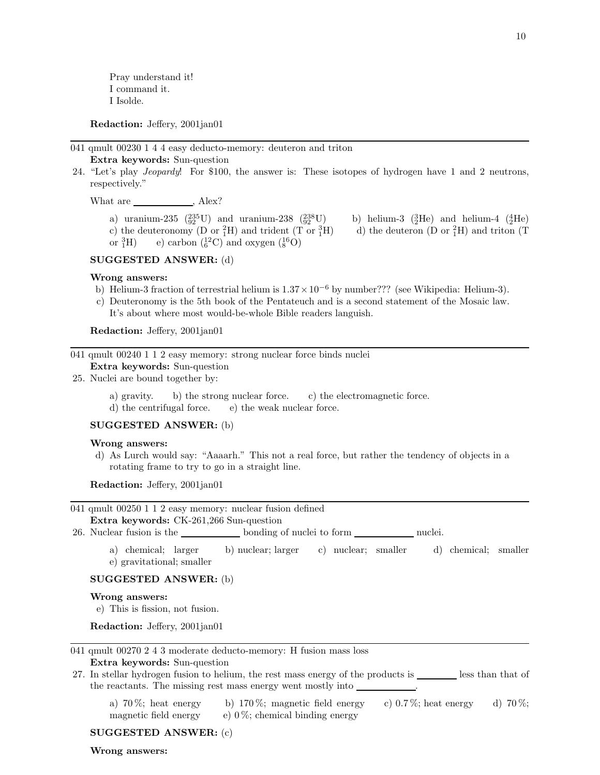Pray understand it! I command it. I Isolde.

Redaction: Jeffery, 2001jan01

041 qmult 00230 1 4 4 easy deducto-memory: deuteron and triton Extra keywords: Sun-question

24. "Let's play Jeopardy! For \$100, the answer is: These isotopes of hydrogen have 1 and 2 neutrons, respectively."

What are , Alex?

a) uranium-235  $\left(\frac{235}{92}U\right)$  and uranium-238  $\left(\frac{238}{92}\right)$ c) the deuteronomy (D or  ${}^{2}_{1}H$ ) and trident (T or  ${}^{3}_{1}$ or  ${}^{3}_{1}H$ )  $^{3}_{1}$ H) e) carbon  $(^{12}_{6}$ C) and oxygen  $(^{16}_{8}O)$ 

 $^{238}_{92}$ U) b) helium-3 ( $^{3}_{2}$ He) and helium-4 ( $^{4}_{2}$ He)  $_1^3$ H) d) the deuteron (D or  $_1^2$ H) and triton (T)

# SUGGESTED ANSWER: (d)

#### Wrong answers:

- b) Helium-3 fraction of terrestrial helium is  $1.37 \times 10^{-6}$  by number??? (see Wikipedia: Helium-3).
- c) Deuteronomy is the 5th book of the Pentateuch and is a second statement of the Mosaic law. It's about where most would-be-whole Bible readers languish.

Redaction: Jeffery, 2001jan01

041 qmult 00240 1 1 2 easy memory: strong nuclear force binds nuclei Extra keywords: Sun-question

25. Nuclei are bound together by:

a) gravity. b) the strong nuclear force. c) the electromagnetic force.

d) the centrifugal force. e) the weak nuclear force.

# SUGGESTED ANSWER: (b)

#### Wrong answers:

d) As Lurch would say: "Aaaarh." This not a real force, but rather the tendency of objects in a rotating frame to try to go in a straight line.

Redaction: Jeffery, 2001jan01

# 041 qmult 00250 1 1 2 easy memory: nuclear fusion defined Extra keywords: CK-261,266 Sun-question

26. Nuclear fusion is the second bonding of nuclei to form nuclei.

a) chemical; larger b) nuclear; larger c) nuclear; smaller d) chemical; smaller e) gravitational; smaller

#### SUGGESTED ANSWER: (b)

### Wrong answers:

e) This is fission, not fusion.

Redaction: Jeffery, 2001jan01

| 041 qmult 00270 2 4 3 moderate deducto-memory: H fusion mass loss |  |  |  |  |  |
|-------------------------------------------------------------------|--|--|--|--|--|
|-------------------------------------------------------------------|--|--|--|--|--|

Extra keywords: Sun-question

| 27. In stellar hydrogen fusion to helium, the rest mass energy of the products is |  | less than that of |
|-----------------------------------------------------------------------------------|--|-------------------|
| the reactants. The missing rest mass energy went mostly into                      |  |                   |

a) 70 %; heat energy b) 170 %; magnetic field energy c) 0.7 %; heat energy d) 70 %; magnetic field energy e)  $0\%$ ; chemical binding energy

Wrong answers: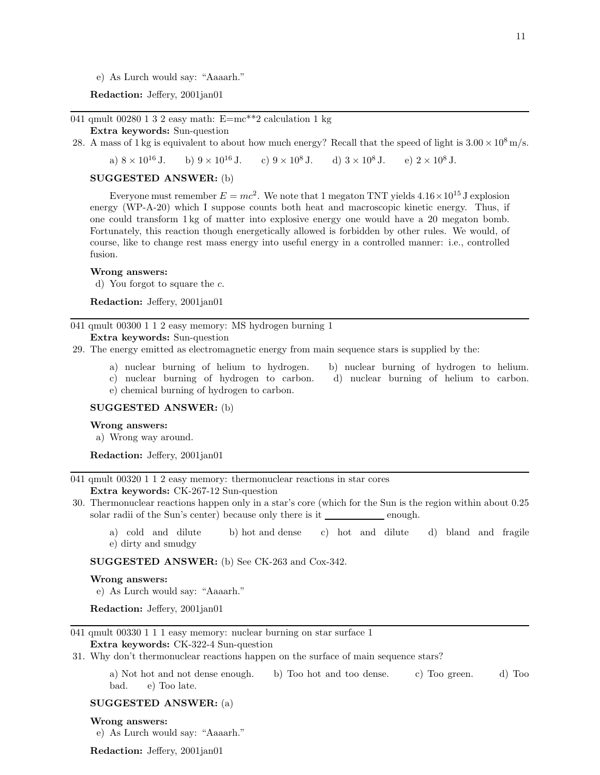e) As Lurch would say: "Aaaarh."

Redaction: Jeffery, 2001jan01

041 qmult 00280 1 3 2 easy math:  $E=mc**2$  calculation 1 kg

#### Extra keywords: Sun-question

28. A mass of 1 kg is equivalent to about how much energy? Recall that the speed of light is  $3.00 \times 10^8$  m/s.

a)  $8 \times 10^{16}$  J. b)  $9 \times 10^{16}$  J. c)  $9 \times 10^8$  J. d)  $3 \times 10^8$  J. e)  $2 \times 10^8$  J.

# SUGGESTED ANSWER: (b)

Everyone must remember  $E = mc^2$ . We note that 1 megaton TNT yields  $4.16 \times 10^{15}$  J explosion energy (WP-A-20) which I suppose counts both heat and macroscopic kinetic energy. Thus, if one could transform 1 kg of matter into explosive energy one would have a 20 megaton bomb. Fortunately, this reaction though energetically allowed is forbidden by other rules. We would, of course, like to change rest mass energy into useful energy in a controlled manner: i.e., controlled fusion.

#### Wrong answers:

d) You forgot to square the c.

Redaction: Jeffery, 2001jan01

041 qmult 00300 1 1 2 easy memory: MS hydrogen burning 1

# Extra keywords: Sun-question

- 29. The energy emitted as electromagnetic energy from main sequence stars is supplied by the:
	- a) nuclear burning of helium to hydrogen. b) nuclear burning of hydrogen to helium.
	- c) nuclear burning of hydrogen to carbon. d) nuclear burning of helium to carbon. e) chemical burning of hydrogen to carbon.

### SUGGESTED ANSWER: (b)

#### Wrong answers:

a) Wrong way around.

Redaction: Jeffery, 2001jan01

041 qmult 00320 1 1 2 easy memory: thermonuclear reactions in star cores

Extra keywords: CK-267-12 Sun-question

- 30. Thermonuclear reactions happen only in a star's core (which for the Sun is the region within about 0.25 solar radii of the Sun's center) because only there is it enough.
	- a) cold and dilute b) hot and dense c) hot and dilute d) bland and fragile e) dirty and smudgy

SUGGESTED ANSWER: (b) See CK-263 and Cox-342.

#### Wrong answers:

e) As Lurch would say: "Aaaarh."

Redaction: Jeffery, 2001jan01

# 041 qmult 00330 1 1 1 easy memory: nuclear burning on star surface 1

# Extra keywords: CK-322-4 Sun-question

31. Why don't thermonuclear reactions happen on the surface of main sequence stars?

a) Not hot and not dense enough. b) Too hot and too dense. c) Too green. d) Too bad. e) Too late.

### SUGGESTED ANSWER: (a)

### Wrong answers:

e) As Lurch would say: "Aaaarh."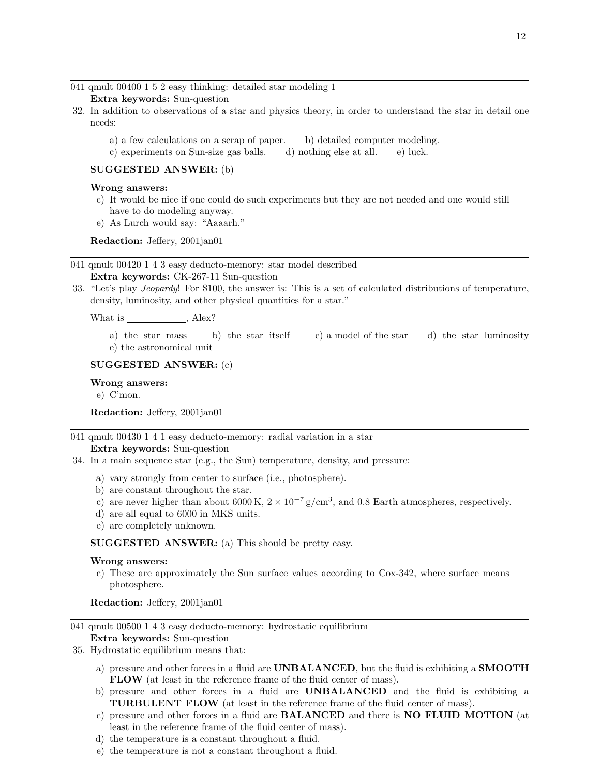041 qmult 00400 1 5 2 easy thinking: detailed star modeling 1

Extra keywords: Sun-question

- 32. In addition to observations of a star and physics theory, in order to understand the star in detail one needs:
	- a) a few calculations on a scrap of paper. b) detailed computer modeling.
	- c) experiments on Sun-size gas balls. d) nothing else at all. e) luck.

# SUGGESTED ANSWER: (b)

### Wrong answers:

- c) It would be nice if one could do such experiments but they are not needed and one would still have to do modeling anyway.
- e) As Lurch would say: "Aaaarh."

Redaction: Jeffery, 2001jan01

041 qmult 00420 1 4 3 easy deducto-memory: star model described Extra keywords: CK-267-11 Sun-question

33. "Let's play Jeopardy! For \$100, the answer is: This is a set of calculated distributions of temperature, density, luminosity, and other physical quantities for a star."

What is , Alex?

a) the star mass b) the star itself c) a model of the star d) the star luminosity e) the astronomical unit

# SUGGESTED ANSWER: (c)

# Wrong answers:

e) C'mon.

Redaction: Jeffery, 2001jan01

041 qmult 00430 1 4 1 easy deducto-memory: radial variation in a star Extra keywords: Sun-question

- 34. In a main sequence star (e.g., the Sun) temperature, density, and pressure:
	- a) vary strongly from center to surface (i.e., photosphere).
	- b) are constant throughout the star.
	- c) are never higher than about 6000 K,  $2 \times 10^{-7}$  g/cm<sup>3</sup>, and 0.8 Earth atmospheres, respectively.
	- d) are all equal to 6000 in MKS units.
	- e) are completely unknown.

SUGGESTED ANSWER: (a) This should be pretty easy.

### Wrong answers:

c) These are approximately the Sun surface values according to Cox-342, where surface means photosphere.

Redaction: Jeffery, 2001jan01

041 qmult 00500 1 4 3 easy deducto-memory: hydrostatic equilibrium

# Extra keywords: Sun-question

- 35. Hydrostatic equilibrium means that:
	- a) pressure and other forces in a fluid are **UNBALANCED**, but the fluid is exhibiting a **SMOOTH** FLOW (at least in the reference frame of the fluid center of mass).
	- b) pressure and other forces in a fluid are UNBALANCED and the fluid is exhibiting a TURBULENT FLOW (at least in the reference frame of the fluid center of mass).
	- c) pressure and other forces in a fluid are BALANCED and there is NO FLUID MOTION (at least in the reference frame of the fluid center of mass).
	- d) the temperature is a constant throughout a fluid.
	- e) the temperature is not a constant throughout a fluid.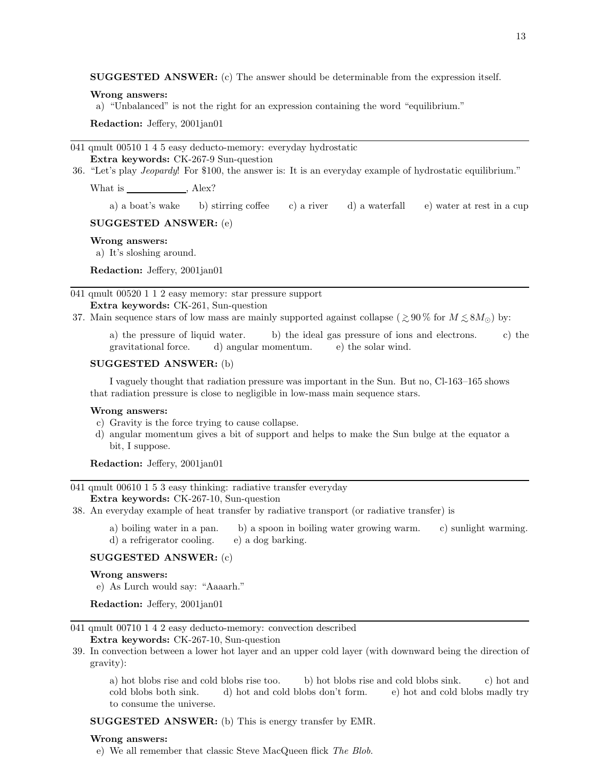SUGGESTED ANSWER: (c) The answer should be determinable from the expression itself.

#### Wrong answers:

a) "Unbalanced" is not the right for an expression containing the word "equilibrium."

Redaction: Jeffery, 2001jan01

041 qmult 00510 1 4 5 easy deducto-memory: everyday hydrostatic Extra keywords: CK-267-9 Sun-question

36. "Let's play Jeopardy! For \$100, the answer is: It is an everyday example of hydrostatic equilibrium."

What is  $\qquad \qquad$ , Alex?

a) a boat's wake b) stirring coffee c) a river d) a waterfall e) water at rest in a cup

### SUGGESTED ANSWER: (e)

# Wrong answers:

a) It's sloshing around.

Redaction: Jeffery, 2001jan01

041 qmult 00520 1 1 2 easy memory: star pressure support Extra keywords: CK-261, Sun-question

37. Main sequence stars of low mass are mainly supported against collapse ( $\geq 90\%$  for  $M \leq 8M_{\odot}$ ) by:

a) the pressure of liquid water. b) the ideal gas pressure of ions and electrons. c) the gravitational force. d) angular momentum. e) the solar wind.

#### SUGGESTED ANSWER: (b)

I vaguely thought that radiation pressure was important in the Sun. But no, Cl-163–165 shows that radiation pressure is close to negligible in low-mass main sequence stars.

#### Wrong answers:

- c) Gravity is the force trying to cause collapse.
- d) angular momentum gives a bit of support and helps to make the Sun bulge at the equator a bit, I suppose.

Redaction: Jeffery, 2001jan01

### 041 qmult 00610 1 5 3 easy thinking: radiative transfer everyday

Extra keywords: CK-267-10, Sun-question

38. An everyday example of heat transfer by radiative transport (or radiative transfer) is

a) boiling water in a pan. b) a spoon in boiling water growing warm. c) sunlight warming. d) a refrigerator cooling. e) a dog barking.

#### SUGGESTED ANSWER: (c)

#### Wrong answers:

e) As Lurch would say: "Aaaarh."

Redaction: Jeffery, 2001jan01

041 qmult 00710 1 4 2 easy deducto-memory: convection described

Extra keywords: CK-267-10, Sun-question

39. In convection between a lower hot layer and an upper cold layer (with downward being the direction of gravity):

a) hot blobs rise and cold blobs rise too. b) hot blobs rise and cold blobs sink. c) hot and cold blobs both sink. d) hot and cold blobs don't form. e) hot and cold blobs madly try to consume the universe.

SUGGESTED ANSWER: (b) This is energy transfer by EMR.

#### Wrong answers:

e) We all remember that classic Steve MacQueen flick The Blob.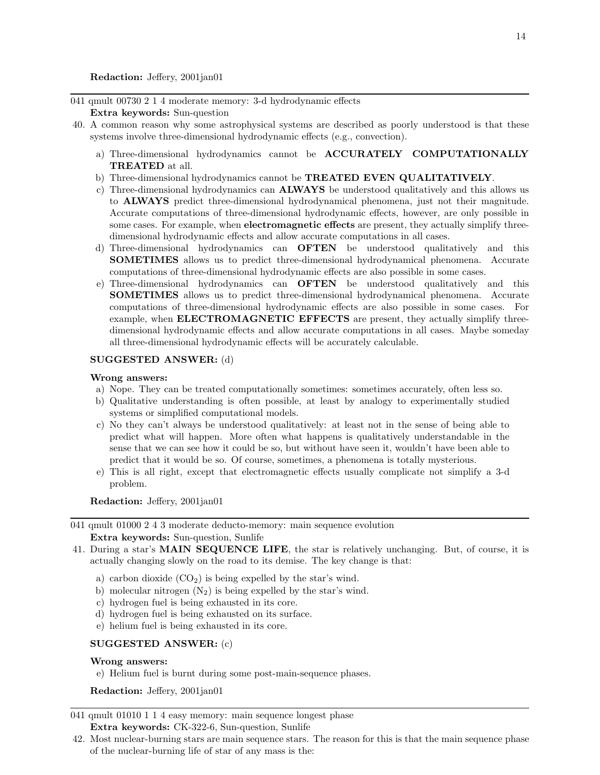Redaction: Jeffery, 2001jan01

041 qmult 00730 2 1 4 moderate memory: 3-d hydrodynamic effects

# Extra keywords: Sun-question

- 40. A common reason why some astrophysical systems are described as poorly understood is that these systems involve three-dimensional hydrodynamic effects (e.g., convection).
	- a) Three-dimensional hydrodynamics cannot be ACCURATELY COMPUTATIONALLY TREATED at all.
	- b) Three-dimensional hydrodynamics cannot be TREATED EVEN QUALITATIVELY.
	- c) Three-dimensional hydrodynamics can ALWAYS be understood qualitatively and this allows us to **ALWAYS** predict three-dimensional hydrodynamical phenomena, just not their magnitude. Accurate computations of three-dimensional hydrodynamic effects, however, are only possible in some cases. For example, when **electromagnetic effects** are present, they actually simplify threedimensional hydrodynamic effects and allow accurate computations in all cases.
	- d) Three-dimensional hydrodynamics can OFTEN be understood qualitatively and this SOMETIMES allows us to predict three-dimensional hydrodynamical phenomena. Accurate computations of three-dimensional hydrodynamic effects are also possible in some cases.
	- e) Three-dimensional hydrodynamics can OFTEN be understood qualitatively and this SOMETIMES allows us to predict three-dimensional hydrodynamical phenomena. Accurate computations of three-dimensional hydrodynamic effects are also possible in some cases. For example, when **ELECTROMAGNETIC EFFECTS** are present, they actually simplify threedimensional hydrodynamic effects and allow accurate computations in all cases. Maybe someday all three-dimensional hydrodynamic effects will be accurately calculable.

# SUGGESTED ANSWER: (d)

# Wrong answers:

- a) Nope. They can be treated computationally sometimes: sometimes accurately, often less so.
- b) Qualitative understanding is often possible, at least by analogy to experimentally studied systems or simplified computational models.
- c) No they can't always be understood qualitatively: at least not in the sense of being able to predict what will happen. More often what happens is qualitatively understandable in the sense that we can see how it could be so, but without have seen it, wouldn't have been able to predict that it would be so. Of course, sometimes, a phenomena is totally mysterious.
- e) This is all right, except that electromagnetic effects usually complicate not simplify a 3-d problem.

Redaction: Jeffery, 2001jan01

# 041 qmult 01000 2 4 3 moderate deducto-memory: main sequence evolution Extra keywords: Sun-question, Sunlife

- 41. During a star's MAIN SEQUENCE LIFE, the star is relatively unchanging. But, of course, it is actually changing slowly on the road to its demise. The key change is that:
	- a) carbon dioxide  $(CO_2)$  is being expelled by the star's wind.
	- b) molecular nitrogen  $(N_2)$  is being expelled by the star's wind.
	- c) hydrogen fuel is being exhausted in its core.
	- d) hydrogen fuel is being exhausted on its surface.
	- e) helium fuel is being exhausted in its core.

### SUGGESTED ANSWER: (c)

# Wrong answers:

e) Helium fuel is burnt during some post-main-sequence phases.

Redaction: Jeffery, 2001jan01

041 qmult 01010 1 1 4 easy memory: main sequence longest phase Extra keywords: CK-322-6, Sun-question, Sunlife

42. Most nuclear-burning stars are main sequence stars. The reason for this is that the main sequence phase of the nuclear-burning life of star of any mass is the: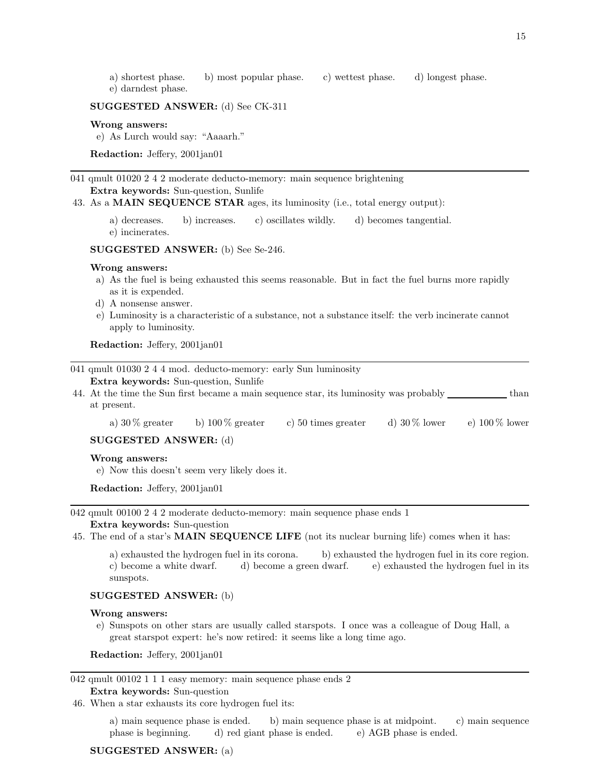- a) shortest phase. b) most popular phase. c) wettest phase. d) longest phase.
- e) darndest phase.

# SUGGESTED ANSWER: (d) See CK-311

#### Wrong answers:

e) As Lurch would say: "Aaaarh."

Redaction: Jeffery, 2001jan01

041 qmult 01020 2 4 2 moderate deducto-memory: main sequence brightening Extra keywords: Sun-question, Sunlife

43. As a MAIN SEQUENCE STAR ages, its luminosity (i.e., total energy output):

a) decreases. b) increases. c) oscillates wildly. d) becomes tangential. e) incinerates.

SUGGESTED ANSWER: (b) See Se-246.

#### Wrong answers:

- a) As the fuel is being exhausted this seems reasonable. But in fact the fuel burns more rapidly as it is expended.
- d) A nonsense answer.
- e) Luminosity is a characteristic of a substance, not a substance itself: the verb incinerate cannot apply to luminosity.

Redaction: Jeffery, 2001jan01

|                       | 041 qmult 01030 2 4 4 mod. deducto-memory: early Sun luminosity                                       |                                               |                     |                 |                  |  |  |
|-----------------------|-------------------------------------------------------------------------------------------------------|-----------------------------------------------|---------------------|-----------------|------------------|--|--|
|                       | <b>Extra keywords:</b> Sun-question, Sunlife                                                          |                                               |                     |                 | than             |  |  |
|                       | 44. At the time the Sun first became a main sequence star, its luminosity was probably<br>at present. |                                               |                     |                 |                  |  |  |
|                       | a) $30\%$ greater                                                                                     | b) $100\%$ greater                            | c) 50 times greater | d) $30\%$ lower | e) $100\%$ lower |  |  |
| SUGGESTED ANSWER: (d) |                                                                                                       |                                               |                     |                 |                  |  |  |
|                       | Wrong answers:                                                                                        |                                               |                     |                 |                  |  |  |
|                       |                                                                                                       | e) Now this doesn't seem very likely does it. |                     |                 |                  |  |  |

Redaction: Jeffery, 2001jan01

042 qmult 00100 2 4 2 moderate deducto-memory: main sequence phase ends 1

### Extra keywords: Sun-question

45. The end of a star's MAIN SEQUENCE LIFE (not its nuclear burning life) comes when it has:

a) exhausted the hydrogen fuel in its corona. b) exhausted the hydrogen fuel in its core region. c) become a white dwarf. d) become a green dwarf. e) exhausted the hydrogen fuel in its sunspots.

### SUGGESTED ANSWER: (b)

#### Wrong answers:

e) Sunspots on other stars are usually called starspots. I once was a colleague of Doug Hall, a great starspot expert: he's now retired: it seems like a long time ago.

Redaction: Jeffery, 2001jan01

042 qmult 00102 1 1 1 easy memory: main sequence phase ends 2 Extra keywords: Sun-question

46. When a star exhausts its core hydrogen fuel its:

a) main sequence phase is ended. b) main sequence phase is at midpoint. c) main sequence phase is beginning. d) red giant phase is ended. e) AGB phase is ended.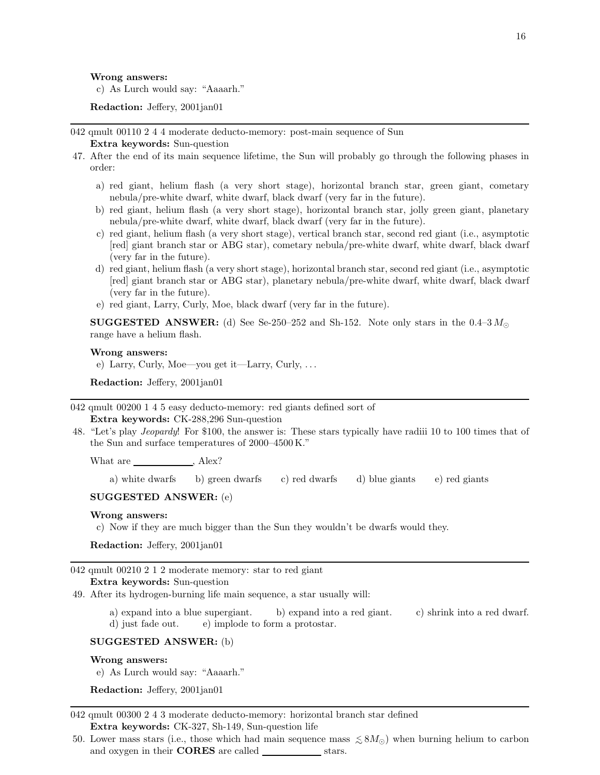#### Wrong answers:

c) As Lurch would say: "Aaaarh."

Redaction: Jeffery, 2001jan01

042 qmult 00110 2 4 4 moderate deducto-memory: post-main sequence of Sun Extra keywords: Sun-question

- 47. After the end of its main sequence lifetime, the Sun will probably go through the following phases in order:
	- a) red giant, helium flash (a very short stage), horizontal branch star, green giant, cometary nebula/pre-white dwarf, white dwarf, black dwarf (very far in the future).
	- b) red giant, helium flash (a very short stage), horizontal branch star, jolly green giant, planetary nebula/pre-white dwarf, white dwarf, black dwarf (very far in the future).
	- c) red giant, helium flash (a very short stage), vertical branch star, second red giant (i.e., asymptotic [red] giant branch star or ABG star), cometary nebula/pre-white dwarf, white dwarf, black dwarf (very far in the future).
	- d) red giant, helium flash (a very short stage), horizontal branch star, second red giant (i.e., asymptotic [red] giant branch star or ABG star), planetary nebula/pre-white dwarf, white dwarf, black dwarf (very far in the future).
	- e) red giant, Larry, Curly, Moe, black dwarf (very far in the future).

**SUGGESTED ANSWER:** (d) See Se-250–252 and Sh-152. Note only stars in the 0.4–3 $M_{\odot}$ range have a helium flash.

#### Wrong answers:

e) Larry, Curly, Moe—you get it—Larry, Curly, . . .

Redaction: Jeffery, 2001jan01

042 qmult 00200 1 4 5 easy deducto-memory: red giants defined sort of Extra keywords: CK-288,296 Sun-question

48. "Let's play Jeopardy! For \$100, the answer is: These stars typically have radiii 10 to 100 times that of the Sun and surface temperatures of 2000–4500 K."

What are \_\_\_\_\_\_\_\_\_\_\_\_\_\_\_, Alex?

a) white dwarfs b) green dwarfs c) red dwarfs d) blue giants e) red giants

### SUGGESTED ANSWER: (e)

#### Wrong answers:

c) Now if they are much bigger than the Sun they wouldn't be dwarfs would they.

Redaction: Jeffery, 2001jan01

042 qmult 00210 2 1 2 moderate memory: star to red giant Extra keywords: Sun-question

49. After its hydrogen-burning life main sequence, a star usually will:

a) expand into a blue supergiant. b) expand into a red giant. c) shrink into a red dwarf. d) just fade out. e) implode to form a protostar.

### SUGGESTED ANSWER: (b)

#### Wrong answers:

e) As Lurch would say: "Aaaarh."

Redaction: Jeffery, 2001jan01

042 qmult 00300 2 4 3 moderate deducto-memory: horizontal branch star defined Extra keywords: CK-327, Sh-149, Sun-question life

50. Lower mass stars (i.e., those which had main sequence mass  $\leq 8M_{\odot}$ ) when burning helium to carbon and oxygen in their **CORES** are called stars.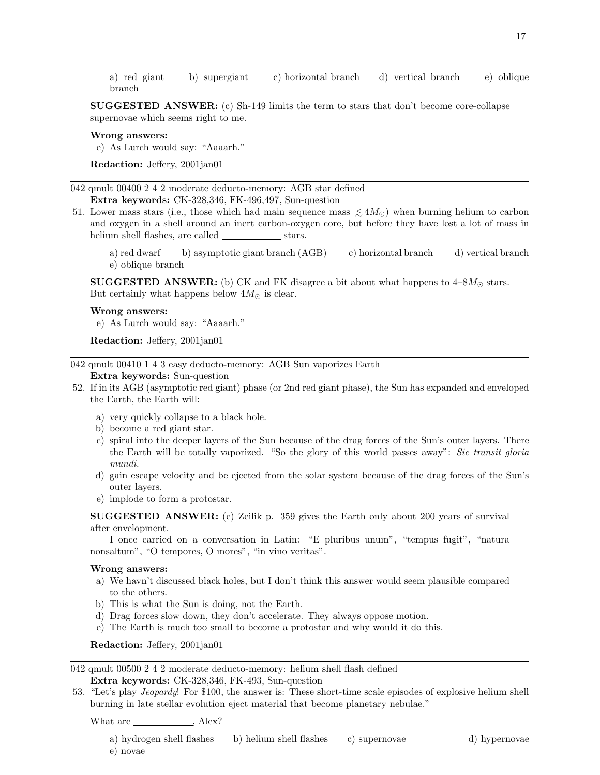a) red giant b) supergiant c) horizontal branch d) vertical branch e) oblique branch

SUGGESTED ANSWER: (c) Sh-149 limits the term to stars that don't become core-collapse supernovae which seems right to me.

### Wrong answers:

e) As Lurch would say: "Aaaarh."

Redaction: Jeffery, 2001jan01

042 qmult 00400 2 4 2 moderate deducto-memory: AGB star defined Extra keywords: CK-328,346, FK-496,497, Sun-question

- 51. Lower mass stars (i.e., those which had main sequence mass  $\lesssim 4M_{\odot}$ ) when burning helium to carbon and oxygen in a shell around an inert carbon-oxygen core, but before they have lost a lot of mass in helium shell flashes, are called stars.
	- a) red dwarf b) asymptotic giant branch (AGB) c) horizontal branch d) vertical branch e) oblique branch

**SUGGESTED ANSWER:** (b) CK and FK disagree a bit about what happens to  $4-8M_{\odot}$  stars. But certainly what happens below  $4M_{\odot}$  is clear.

### Wrong answers:

e) As Lurch would say: "Aaaarh."

Redaction: Jeffery, 2001jan01

042 qmult 00410 1 4 3 easy deducto-memory: AGB Sun vaporizes Earth

# Extra keywords: Sun-question

- 52. If in its AGB (asymptotic red giant) phase (or 2nd red giant phase), the Sun has expanded and enveloped the Earth, the Earth will:
	- a) very quickly collapse to a black hole.
	- b) become a red giant star.
	- c) spiral into the deeper layers of the Sun because of the drag forces of the Sun's outer layers. There the Earth will be totally vaporized. "So the glory of this world passes away": Sic transit gloria mundi.
	- d) gain escape velocity and be ejected from the solar system because of the drag forces of the Sun's outer layers.
	- e) implode to form a protostar.

SUGGESTED ANSWER: (c) Zeilik p. 359 gives the Earth only about 200 years of survival after envelopment.

I once carried on a conversation in Latin: "E pluribus unum", "tempus fugit", "natura nonsaltum", "O tempores, O mores", "in vino veritas".

#### Wrong answers:

- a) We havn't discussed black holes, but I don't think this answer would seem plausible compared to the others.
- b) This is what the Sun is doing, not the Earth.
- d) Drag forces slow down, they don't accelerate. They always oppose motion.
- e) The Earth is much too small to become a protostar and why would it do this.

Redaction: Jeffery, 2001jan01

042 qmult 00500 2 4 2 moderate deducto-memory: helium shell flash defined Extra keywords: CK-328,346, FK-493, Sun-question

53. "Let's play Jeopardy! For \$100, the answer is: These short-time scale episodes of explosive helium shell burning in late stellar evolution eject material that become planetary nebulae."

What are  $\hfill$  , Alex?

a) hydrogen shell flashes b) helium shell flashes c) supernovae d) hypernovae